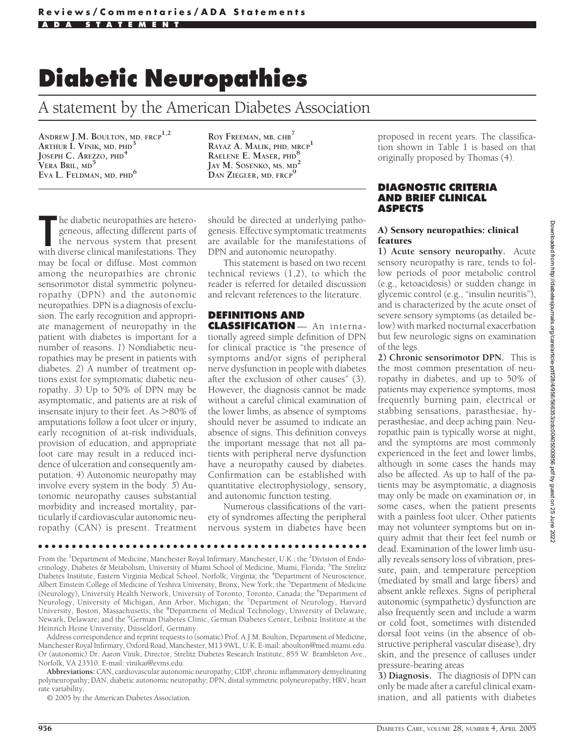# **Diabetic Neuropathies**

A statement by the American Diabetes Association

**ANDREW J.M. BOULTON, MD, FRCP1,2 ARTHUR I. VINIK, MD, PHD3 JOSEPH C. AREZZO, PHD<sup>4</sup> VERA BRIL, MD<sup>5</sup> EVA L. FELDMAN, MD, PHD<sup>6</sup>**

**ROY FREEMAN, MB, CHB<sup>7</sup> RAYAZ A. MALIK, PHD, MRCP<sup>1</sup> RAELENE E. MASER, PHD<sup>8</sup> JAY M. SOSENKO, MS, MD2 DAN ZIEGLER, MD, FRCP<sup>9</sup>**

**The diabetic neuropathies are heterogeneous, affecting different parts of the nervous system that present with diverse clinical manifestations. They** he diabetic neuropathies are heterogeneous, affecting different parts of the nervous system that present may be focal or diffuse. Most common among the neuropathies are chronic sensorimotor distal symmetric polyneuropathy (DPN) and the autonomic neuropathies. DPN is a diagnosis of exclusion. The early recognition and appropriate management of neuropathy in the patient with diabetes is important for a number of reasons. *1*) Nondiabetic neuropathies may be present in patients with diabetes. *2*) A number of treatment options exist for symptomatic diabetic neuropathy. *3*) Up to 50% of DPN may be asymptomatic, and patients are at risk of insensate injury to their feet. As  $>$ 80% of amputations follow a foot ulcer or injury, early recognition of at-risk individuals, provision of education, and appropriate foot care may result in a reduced incidence of ulceration and consequently amputation. *4*) Autonomic neuropathy may involve every system in the body. *5*) Autonomic neuropathy causes substantial morbidity and increased mortality, particularly if cardiovascular autonomic neuropathy (CAN) is present. Treatment

should be directed at underlying pathogenesis. Effective symptomatic treatments are available for the manifestations of DPN and autonomic neuropathy.

This statement is based on two recent technical reviews (1,2), to which the reader is referred for detailed discussion and relevant references to the literature.

## **DEFINITIONS AND CLASSIFICATION** — An interna-

tionally agreed simple definition of DPN for clinical practice is "the presence of symptoms and/or signs of peripheral nerve dysfunction in people with diabetes after the exclusion of other causes" (3). However, the diagnosis cannot be made without a careful clinical examination of the lower limbs, as absence of symptoms should never be assumed to indicate an absence of signs. This definition conveys the important message that not all patients with peripheral nerve dysfunction have a neuropathy caused by diabetes. Confirmation can be established with quantitative electrophysiology, sensory, and autonomic function testing.

Numerous classifications of the variety of syndromes affecting the peripheral nervous system in diabetes have been

#### ●●●●●●●●●●●●●●●●●●●●●●●●●●●●●●●●●●●●●●●●●●●●●●●●●

From the <sup>1</sup>Department of Medicine, Manchester Royal Infirmary, Manchester, U.K.; the <sup>2</sup>Division of Endocrinology, Diabetes & Metabolism, University of Miami School of Medicine, Miami, Florida; <sup>3</sup> The Strelitz Diabetes Institute, Eastern Virginia Medical School, Norfolk, Virginia; the <sup>4</sup>Department of Neuroscience, Albert Einstein College of Medicine of Yeshiva University, Bronx, New York; the <sup>5</sup>Department of Medicine (Neurology), University Health Network, University of Toronto, Toronto, Canada; the <sup>6</sup> Department of Neurology, University of Michigan, Ann Arbor, Michigan; the <sup>7</sup> Department of Neurology, Harvard University, Boston, Massachusetts; the <sup>8</sup>Department of Medical Technology, University of Delaware, Newark, Delaware; and the <sup>9</sup> German Diabetes Clinic, German Diabetes Center, Leibniz Institute at the Heinrich Heine University, Düsseldorf, Germany.

Address correspondence and reprint requests to (somatic) Prof. A.J.M. Boulton, Department of Medicine, Manchester Royal Infirmary, Oxford Road, Manchester, M13 9WL, U.K. E-mail: aboulton@med.miami.edu. Or (autonomic) Dr. Aaron Vinik, Director, Strelitz Diabetes Research Institute, 855 W. Brambleton Ave., Norfolk, VA 23510. E-mail: vinikai@evms.edu.

**Abbreviations:** CAN, cardiovascular autonomic neuropathy; CIDP, chronic inflammatory demyelinating polyneuropathy; DAN, diabetic autonomic neuropathy; DPN, distal symmetric polyneuropathy; HRV, heart rate variability.

© 2005 by the American Diabetes Association.

proposed in recent years. The classification shown in Table 1 is based on that originally proposed by Thomas (4).

#### **DIAGNOSTIC CRITERIA AND BRIEF CLINICAL ASPECTS**

## A) Sensory neuropathies: clinical features

**1) Acute sensory neuropathy.** Acute sensory neuropathy is rare, tends to follow periods of poor metabolic control (e.g., ketoacidosis) or sudden change in glycemic control (e.g., "insulin neuritis"), and is characterized by the acute onset of severe sensory symptoms (as detailed below) with marked nocturnal exacerbation but few neurologic signs on examination of the legs.

**2) Chronic sensorimotor DPN.** This is the most common presentation of neuropathy in diabetes, and up to 50% of patients may experience symptoms, most frequently burning pain, electrical or stabbing sensations, parasthesiae, hyperasthesiae, and deep aching pain. Neuropathic pain is typically worse at night, and the symptoms are most commonly experienced in the feet and lower limbs, although in some cases the hands may also be affected. As up to half of the patients may be asymptomatic, a diagnosis may only be made on examination or, in some cases, when the patient presents with a painless foot ulcer. Other patients may not volunteer symptoms but on inquiry admit that their feet feel numb or dead. Examination of the lower limb usually reveals sensory loss of vibration, pressure, pain, and temperature perception (mediated by small and large fibers) and absent ankle reflexes. Signs of peripheral autonomic (sympathetic) dysfunction are also frequently seen and include a warm or cold foot, sometimes with distended dorsal foot veins (in the absence of obstructive peripheral vascular disease), dry skin, and the presence of calluses under pressure-bearing areas

**3) Diagnosis.** The diagnosis of DPN can only be made after a careful clinical examination, and all patients with diabetes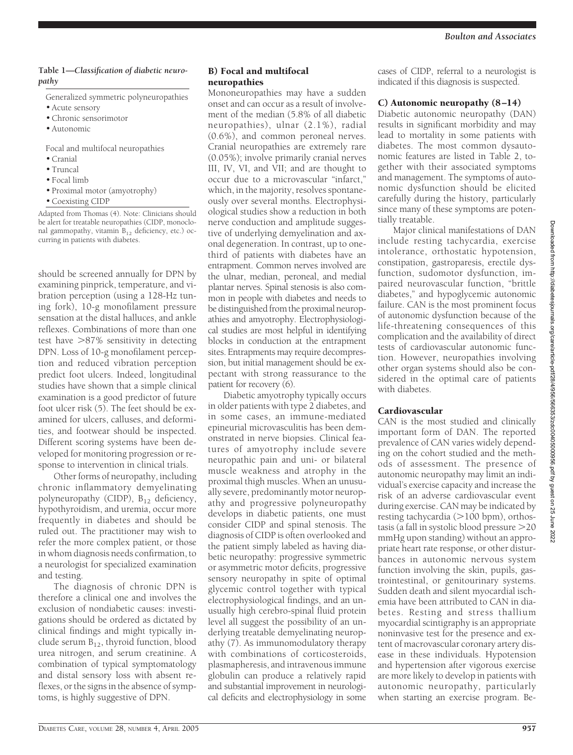# **Table 1—***Classification of diabetic neuropathy*

Generalized symmetric polyneuropathies

- Acute sensory
- Chronic sensorimotor
- Autonomic

Focal and multifocal neuropathies

- Cranial
- Truncal
- Focal limb
- Proximal motor (amyotrophy)
- Coexisting CIDP

Adapted from Thomas (4). Note: Clinicians should be alert for treatable neuropathies (CIDP, monoclonal gammopathy, vitamin  $B_{12}$  deficiency, etc.) occurring in patients with diabetes.

should be screened annually for DPN by examining pinprick, temperature, and vibration perception (using a 128-Hz tuning fork), 10-g monofilament pressure sensation at the distal halluces, and ankle reflexes. Combinations of more than one test have  $>87\%$  sensitivity in detecting DPN. Loss of 10-g monofilament perception and reduced vibration perception predict foot ulcers. Indeed, longitudinal studies have shown that a simple clinical examination is a good predictor of future foot ulcer risk (5). The feet should be examined for ulcers, calluses, and deformities, and footwear should be inspected. Different scoring systems have been developed for monitoring progression or response to intervention in clinical trials.

Other forms of neuropathy, including chronic inflammatory demyelinating polyneuropathy (CIDP),  $B_{12}$  deficiency, hypothyroidism, and uremia, occur more frequently in diabetes and should be ruled out. The practitioner may wish to refer the more complex patient, or those in whom diagnosis needs confirmation, to a neurologist for specialized examination and testing.

The diagnosis of chronic DPN is therefore a clinical one and involves the exclusion of nondiabetic causes: investigations should be ordered as dictated by clinical findings and might typically include serum  $B_{12}$ , thyroid function, blood urea nitrogen, and serum creatinine. A combination of typical symptomatology and distal sensory loss with absent reflexes, or the signs in the absence of symptoms, is highly suggestive of DPN.

# B) Focal and multifocal neuropathies

Mononeuropathies may have a sudden onset and can occur as a result of involvement of the median (5.8% of all diabetic neuropathies), ulnar (2.1%), radial (0.6%), and common peroneal nerves. Cranial neuropathies are extremely rare (0.05%); involve primarily cranial nerves III, IV, VI, and VII; and are thought to occur due to a microvascular "infarct," which, in the majority, resolves spontaneously over several months. Electrophysiological studies show a reduction in both nerve conduction and amplitude suggestive of underlying demyelination and axonal degeneration. In contrast, up to onethird of patients with diabetes have an entrapment. Common nerves involved are the ulnar, median, peroneal, and medial plantar nerves. Spinal stenosis is also common in people with diabetes and needs to be distinguished from the proximal neuropathies and amyotrophy. Electrophysiological studies are most helpful in identifying blocks in conduction at the entrapment sites. Entrapments may require decompression, but initial management should be expectant with strong reassurance to the patient for recovery (6).

Diabetic amyotrophy typically occurs in older patients with type 2 diabetes, and in some cases, an immune-mediated epineurial microvasculitis has been demonstrated in nerve biopsies. Clinical features of amyotrophy include severe neuropathic pain and uni- or bilateral muscle weakness and atrophy in the proximal thigh muscles. When an unusually severe, predominantly motor neuropathy and progressive polyneuropathy develops in diabetic patients, one must consider CIDP and spinal stenosis. The diagnosis of CIDP is often overlooked and the patient simply labeled as having diabetic neuropathy: progressive symmetric or asymmetric motor deficits, progressive sensory neuropathy in spite of optimal glycemic control together with typical electrophysiological findings, and an unusually high cerebro-spinal fluid protein level all suggest the possibility of an underlying treatable demyelinating neuropathy (7). As immunomodulatory therapy with combinations of corticosteroids, plasmapheresis, and intravenous immune globulin can produce a relatively rapid and substantial improvement in neurological deficits and electrophysiology in some

cases of CIDP, referral to a neurologist is indicated if this diagnosis is suspected.

# C) Autonomic neuropathy  $(8-14)$

Diabetic autonomic neuropathy (DAN) results in significant morbidity and may lead to mortality in some patients with diabetes. The most common dysautonomic features are listed in Table 2, together with their associated symptoms and management. The symptoms of autonomic dysfunction should be elicited carefully during the history, particularly since many of these symptoms are potentially treatable.

Major clinical manifestations of DAN include resting tachycardia, exercise intolerance, orthostatic hypotension, constipation, gastroparesis, erectile dysfunction, sudomotor dysfunction, impaired neurovascular function, "brittle diabetes," and hypoglycemic autonomic failure. CAN is the most prominent focus of autonomic dysfunction because of the life-threatening consequences of this complication and the availability of direct tests of cardiovascular autonomic function. However, neuropathies involving other organ systems should also be considered in the optimal care of patients with diabetes.

# Cardiovascular

CAN is the most studied and clinically important form of DAN. The reported prevalence of CAN varies widely depending on the cohort studied and the methods of assessment. The presence of autonomic neuropathy may limit an individual's exercise capacity and increase the risk of an adverse cardiovascular event during exercise. CAN may be indicated by resting tachycardia  $(>100$  bpm), orthostasis (a fall in systolic blood pressure 20 mmHg upon standing) without an appropriate heart rate response, or other disturbances in autonomic nervous system function involving the skin, pupils, gastrointestinal, or genitourinary systems. Sudden death and silent myocardial ischemia have been attributed to CAN in diabetes. Resting and stress thallium myocardial scintigraphy is an appropriate noninvasive test for the presence and extent of macrovascular coronary artery disease in these individuals. Hypotension and hypertension after vigorous exercise are more likely to develop in patients with autonomic neuropathy, particularly when starting an exercise program. Be-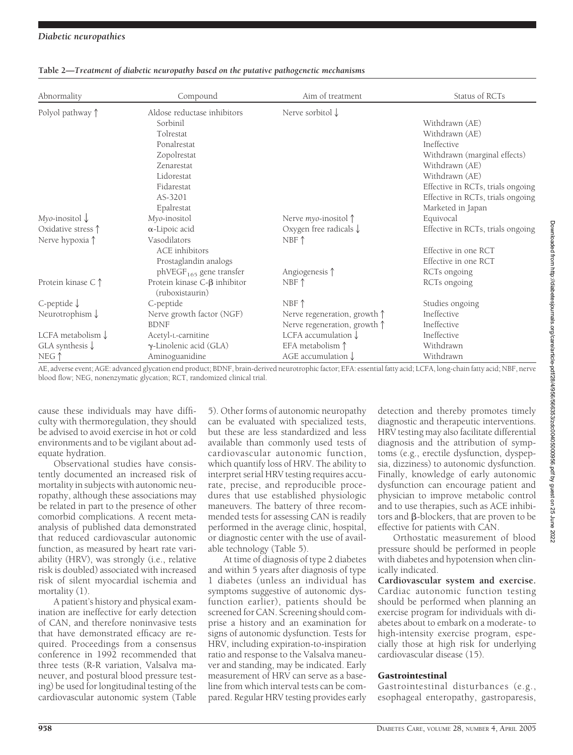## *Diabetic neuropathies*

| Abnormality                  | Compound                                                  | Aim of treatment                      | Status of RCTs                    |
|------------------------------|-----------------------------------------------------------|---------------------------------------|-----------------------------------|
| Polyol pathway 1             | Aldose reductase inhibitors                               | Nerve sorbitol $\downarrow$           |                                   |
|                              | Sorbinil                                                  |                                       | Withdrawn (AE)                    |
|                              | Tolrestat                                                 |                                       | Withdrawn (AE)                    |
|                              | Ponalrestat                                               |                                       | Ineffective                       |
|                              | Zopolrestat                                               |                                       | Withdrawn (marginal effects)      |
|                              | Zenarestat                                                |                                       | Withdrawn (AE)                    |
|                              | Lidorestat                                                |                                       | Withdrawn (AE)                    |
|                              | Fidarestat                                                |                                       | Effective in RCTs, trials ongoing |
|                              | AS-3201                                                   |                                       | Effective in RCTs, trials ongoing |
|                              | Epalrestat                                                |                                       | Marketed in Japan                 |
| Myo-inositol $\downarrow$    | Myo-inositol                                              | Nerve $myo$ -inositol $\uparrow$      | Equivocal                         |
| Oxidative stress 1           | $\alpha$ -Lipoic acid                                     | Oxygen free radicals $\downarrow$     | Effective in RCTs, trials ongoing |
| Nerve hypoxia ↑              | Vasodilators                                              | $NBF$ $\uparrow$                      |                                   |
|                              | ACE inhibitors                                            |                                       | Effective in one RCT              |
|                              | Prostaglandin analogs                                     |                                       | Effective in one RCT              |
|                              | $phVEGF165$ gene transfer                                 | Angiogenesis ↑                        | RCTs ongoing                      |
| Protein kinase $C \uparrow$  | Protein kinase $C$ - $\beta$ inhibitor<br>(ruboxistaurin) | $NBF$ $\uparrow$                      | RCTs ongoing                      |
| C-peptide $\downarrow$       | C-peptide                                                 | $NBF$ $\uparrow$                      | Studies ongoing                   |
| Neurotrophism $\downarrow$   | Nerve growth factor (NGF)                                 | Nerve regeneration, growth $\uparrow$ | Ineffective                       |
|                              | <b>BDNF</b>                                               | Nerve regeneration, growth $\uparrow$ | Ineffective                       |
| LCFA metabolism $\downarrow$ | Acetyl-L-carnitine                                        | LCFA accumulation $\downarrow$        | Ineffective                       |
| GLA synthesis $\downarrow$   | $\gamma$ -Linolenic acid (GLA)                            | EFA metabolism 1                      | Withdrawn                         |
| $NEG$ $\uparrow$             | Aminoguanidine                                            | AGE accumulation $\downarrow$         | Withdrawn                         |

#### **Table 2—***Treatment of diabetic neuropathy based on the putative pathogenetic mechanisms*

AE, adverse event; AGE: advanced glycation end product; BDNF, brain-derived neurotrophic factor; EFA: essential fatty acid; LCFA, long-chain fatty acid; NBF, nerve blood flow; NEG, nonenzymatic glycation; RCT, randomized clinical trial.

cause these individuals may have difficulty with thermoregulation, they should be advised to avoid exercise in hot or cold environments and to be vigilant about adequate hydration.

Observational studies have consistently documented an increased risk of mortality in subjects with autonomic neuropathy, although these associations may be related in part to the presence of other comorbid complications. A recent metaanalysis of published data demonstrated that reduced cardiovascular autonomic function, as measured by heart rate variability (HRV), was strongly (i.e., relative risk is doubled) associated with increased risk of silent myocardial ischemia and mortality (1).

A patient's history and physical examination are ineffective for early detection of CAN, and therefore noninvasive tests that have demonstrated efficacy are required. Proceedings from a consensus conference in 1992 recommended that three tests (R-R variation, Valsalva maneuver, and postural blood pressure testing) be used for longitudinal testing of the cardiovascular autonomic system (Table

5). Other forms of autonomic neuropathy can be evaluated with specialized tests, but these are less standardized and less available than commonly used tests of cardiovascular autonomic function, which quantify loss of HRV. The ability to interpret serial HRV testing requires accurate, precise, and reproducible procedures that use established physiologic maneuvers. The battery of three recommended tests for assessing CAN is readily performed in the average clinic, hospital, or diagnostic center with the use of available technology (Table 5).

At time of diagnosis of type 2 diabetes and within 5 years after diagnosis of type 1 diabetes (unless an individual has symptoms suggestive of autonomic dysfunction earlier), patients should be screened for CAN. Screening should comprise a history and an examination for signs of autonomic dysfunction. Tests for HRV, including expiration-to-inspiration ratio and response to the Valsalva maneuver and standing, may be indicated. Early measurement of HRV can serve as a baseline from which interval tests can be compared. Regular HRV testing provides early detection and thereby promotes timely diagnostic and therapeutic interventions. HRV testing may also facilitate differential diagnosis and the attribution of symptoms (e.g., erectile dysfunction, dyspepsia, dizziness) to autonomic dysfunction. Finally, knowledge of early autonomic dysfunction can encourage patient and physician to improve metabolic control and to use therapies, such as ACE inhibitors and  $\beta$ -blockers, that are proven to be effective for patients with CAN.

Orthostatic measurement of blood pressure should be performed in people with diabetes and hypotension when clinically indicated.

**Cardiovascular system and exercise.** Cardiac autonomic function testing should be performed when planning an exercise program for individuals with diabetes about to embark on a moderate- to high-intensity exercise program, especially those at high risk for underlying cardiovascular disease (15).

## Gastrointestinal

Gastrointestinal disturbances (e.g., esophageal enteropathy, gastroparesis,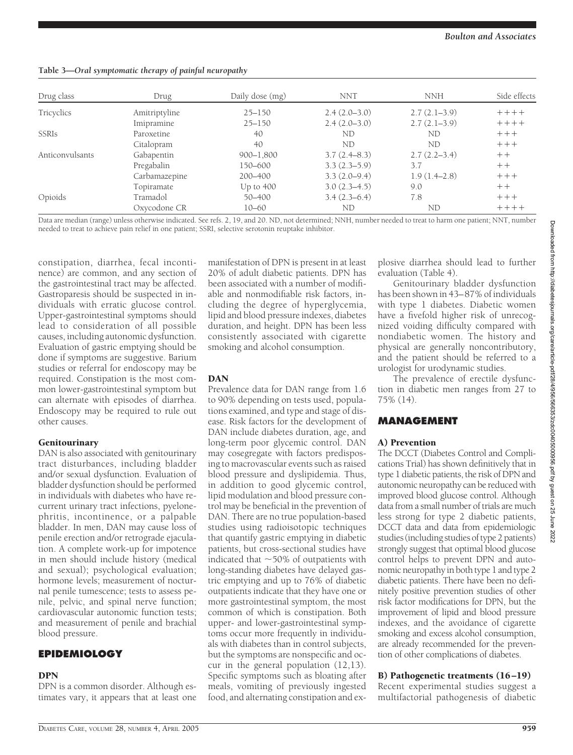| Drug class      | Drug          | Daily dose (mg) | <b>NNT</b>       | <b>NNH</b>       | Side effects |
|-----------------|---------------|-----------------|------------------|------------------|--------------|
| Tricyclics      | Amitriptyline | $25 - 150$      | $2.4(2.0-3.0)$   | $2.7(2.1-3.9)$   | $+++++$      |
|                 | Imipramine    | $25 - 150$      | $2.4(2.0-3.0)$   | $2.7(2.1-3.9)$   | $+++++$      |
| <b>SSRIs</b>    | Paroxetine    | 40              | <b>ND</b>        | ND               | $+++$        |
|                 | Citalopram    | 40              | ND.              | ND               | $+++$        |
| Anticonvulsants | Gabapentin    | $900 - 1,800$   | $3.7(2.4 - 8.3)$ | $2.7(2.2 - 3.4)$ | $++$         |
|                 | Pregabalin    | 150-600         | $3.3(2.3-5.9)$   | 3.7              | $++$         |
|                 | Carbamazepine | 200-400         | $3.3(2.0-9.4)$   | $1.9(1.4 - 2.8)$ | $+++$        |
|                 | Topiramate    | Up to $400$     | $3.0(2.3-4.5)$   | 9.0              | $++$         |
| Opioids         | Tramadol      | 50-400          | $3.4(2.3-6.4)$   | 7.8              | $+++$        |
|                 | Oxycodone CR  | $10 - 60$       | ND               | ND               | $+++++$      |

# **Table 3—***Oral symptomatic therapy of painful neuropathy*

Data are median (range) unless otherwise indicated. See refs. 2, 19, and 20. ND, not determined; NNH, number needed to treat to harm one patient; NNT, number needed to treat to achieve pain relief in one patient; SSRI, selective serotonin reuptake inhibitor.

constipation, diarrhea, fecal incontinence) are common, and any section of the gastrointestinal tract may be affected. Gastroparesis should be suspected in individuals with erratic glucose control. Upper-gastrointestinal symptoms should lead to consideration of all possible causes, including autonomic dysfunction. Evaluation of gastric emptying should be done if symptoms are suggestive. Barium studies or referral for endoscopy may be required. Constipation is the most common lower-gastrointestinal symptom but can alternate with episodes of diarrhea. Endoscopy may be required to rule out other causes.

## Genitourinary

DAN is also associated with genitourinary tract disturbances, including bladder and/or sexual dysfunction. Evaluation of bladder dysfunction should be performed in individuals with diabetes who have recurrent urinary tract infections, pyelonephritis, incontinence, or a palpable bladder. In men, DAN may cause loss of penile erection and/or retrograde ejaculation. A complete work-up for impotence in men should include history (medical and sexual); psychological evaluation; hormone levels; measurement of nocturnal penile tumescence; tests to assess penile, pelvic, and spinal nerve function; cardiovascular autonomic function tests; and measurement of penile and brachial blood pressure.

# **EPIDEMIOLOGY**

#### DPN

DPN is a common disorder. Although estimates vary, it appears that at least one

manifestation of DPN is present in at least 20% of adult diabetic patients. DPN has been associated with a number of modifiable and nonmodifiable risk factors, including the degree of hyperglycemia, lipid and blood pressure indexes, diabetes duration, and height. DPN has been less consistently associated with cigarette smoking and alcohol consumption.

# DAN

Prevalence data for DAN range from 1.6 to 90% depending on tests used, populations examined, and type and stage of disease. Risk factors for the development of DAN include diabetes duration, age, and long-term poor glycemic control. DAN may cosegregate with factors predisposing to macrovascular events such as raised blood pressure and dyslipidemia. Thus, in addition to good glycemic control, lipid modulation and blood pressure control may be beneficial in the prevention of DAN. There are no true population-based studies using radioisotopic techniques that quantify gastric emptying in diabetic patients, but cross-sectional studies have indicated that  $\sim$  50% of outpatients with long-standing diabetes have delayed gastric emptying and up to 76% of diabetic outpatients indicate that they have one or more gastrointestinal symptom, the most common of which is constipation. Both upper- and lower-gastrointestinal symptoms occur more frequently in individuals with diabetes than in control subjects, but the symptoms are nonspecific and occur in the general population (12,13). Specific symptoms such as bloating after meals, vomiting of previously ingested food, and alternating constipation and ex-

plosive diarrhea should lead to further evaluation (Table 4).

Genitourinary bladder dysfunction has been shown in 43–87% of individuals with type 1 diabetes. Diabetic women have a fivefold higher risk of unrecognized voiding difficulty compared with nondiabetic women. The history and physical are generally noncontributory, and the patient should be referred to a urologist for urodynamic studies.

The prevalence of erectile dysfunction in diabetic men ranges from 27 to 75% (14).

# **MANAGEMENT**

## A) Prevention

The DCCT (Diabetes Control and Complications Trial) has shown definitively that in type 1 diabetic patients, the risk of DPN and autonomic neuropathy can be reduced with improved blood glucose control. Although data from a small number of trials are much less strong for type 2 diabetic patients, DCCT data and data from epidemiologic studies (including studies of type 2 patients) strongly suggest that optimal blood glucose control helps to prevent DPN and autonomic neuropathy in both type 1 and type 2 diabetic patients. There have been no definitely positive prevention studies of other risk factor modifications for DPN, but the improvement of lipid and blood pressure indexes, and the avoidance of cigarette smoking and excess alcohol consumption, are already recommended for the prevention of other complications of diabetes.

## B) Pathogenetic treatments (16 –19)

Recent experimental studies suggest a multifactorial pathogenesis of diabetic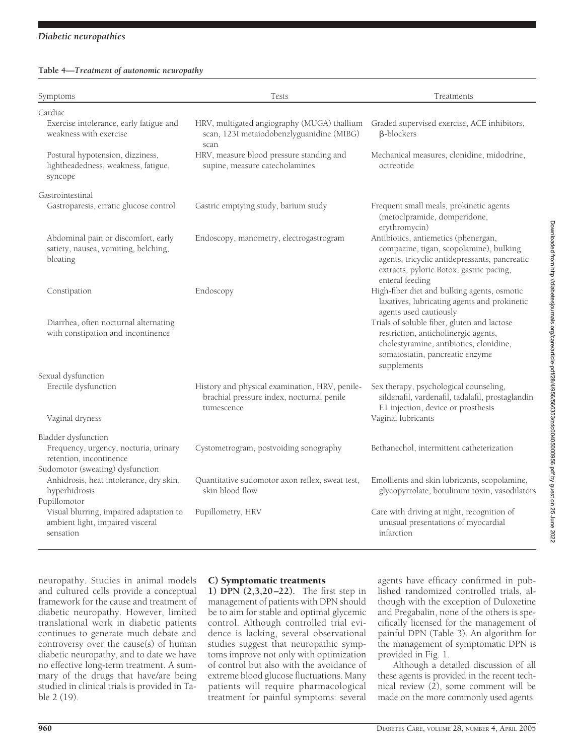# *Diabetic neuropathies*

|  | Table 4-Treatment of autonomic neuropathy |  |  |  |  |  |
|--|-------------------------------------------|--|--|--|--|--|
|--|-------------------------------------------|--|--|--|--|--|

| Symptoms                                                                                     | Tests                                                                                                     | Treatments                                                                                                                                                                                      |
|----------------------------------------------------------------------------------------------|-----------------------------------------------------------------------------------------------------------|-------------------------------------------------------------------------------------------------------------------------------------------------------------------------------------------------|
| Cardiac                                                                                      |                                                                                                           |                                                                                                                                                                                                 |
| Exercise intolerance, early fatigue and<br>weakness with exercise                            | HRV, multigated angiography (MUGA) thallium<br>scan, 123I metaiodobenzlyguanidine (MIBG)<br>scan          | Graded supervised exercise, ACE inhibitors,<br>$\beta$ -blockers                                                                                                                                |
| Postural hypotension, dizziness,<br>lightheadedness, weakness, fatigue,<br>syncope           | HRV, measure blood pressure standing and<br>supine, measure catecholamines                                | Mechanical measures, clonidine, midodrine,<br>octreotide                                                                                                                                        |
| Gastrointestinal                                                                             |                                                                                                           |                                                                                                                                                                                                 |
| Gastroparesis, erratic glucose control                                                       | Gastric emptying study, barium study                                                                      | Frequent small meals, prokinetic agents<br>(metoclpramide, domperidone,<br>erythromycin)                                                                                                        |
| Abdominal pain or discomfort, early<br>satiety, nausea, vomiting, belching,<br>bloating      | Endoscopy, manometry, electrogastrogram                                                                   | Antibiotics, antiemetics (phenergan,<br>compazine, tigan, scopolamine), bulking<br>agents, tricyclic antidepressants, pancreatic<br>extracts, pyloric Botox, gastric pacing,<br>enteral feeding |
| Constipation                                                                                 | Endoscopy                                                                                                 | High-fiber diet and bulking agents, osmotic<br>laxatives, lubricating agents and prokinetic<br>agents used cautiously                                                                           |
| Diarrhea, often nocturnal alternating<br>with constipation and incontinence                  |                                                                                                           | Trials of soluble fiber, gluten and lactose<br>restriction, anticholinergic agents,<br>cholestyramine, antibiotics, clonidine,<br>somatostatin, pancreatic enzyme<br>supplements                |
| Sexual dysfunction                                                                           |                                                                                                           |                                                                                                                                                                                                 |
| Erectile dysfunction                                                                         | History and physical examination, HRV, penile-<br>brachial pressure index, nocturnal penile<br>tumescence | Sex therapy, psychological counseling,<br>sildenafil, vardenafil, tadalafil, prostaglandin<br>E1 injection, device or prosthesis                                                                |
| Vaginal dryness                                                                              |                                                                                                           | Vaginal lubricants                                                                                                                                                                              |
| Bladder dysfunction                                                                          |                                                                                                           |                                                                                                                                                                                                 |
| Frequency, urgency, nocturia, urinary<br>retention, incontinence                             | Cystometrogram, postvoiding sonography                                                                    | Bethanechol, intermittent catheterization                                                                                                                                                       |
| Sudomotor (sweating) dysfunction<br>Anhidrosis, heat intolerance, dry skin,<br>hyperhidrosis | Quantitative sudomotor axon reflex, sweat test,<br>skin blood flow                                        | Emollients and skin lubricants, scopolamine,<br>glycopyrrolate, botulinum toxin, vasodilators                                                                                                   |
| Pupillomotor                                                                                 |                                                                                                           |                                                                                                                                                                                                 |
| Visual blurring, impaired adaptation to<br>ambient light, impaired visceral<br>sensation     | Pupillometry, HRV                                                                                         | Care with driving at night, recognition of<br>unusual presentations of myocardial<br>infarction                                                                                                 |

neuropathy. Studies in animal models and cultured cells provide a conceptual framework for the cause and treatment of diabetic neuropathy. However, limited translational work in diabetic patients continues to generate much debate and controversy over the cause(s) of human diabetic neuropathy, and to date we have no effective long-term treatment. A summary of the drugs that have/are being studied in clinical trials is provided in Table 2 (19).

## C) Symptomatic treatments

**1) DPN (2,3,20 –22).** The first step in management of patients with DPN should be to aim for stable and optimal glycemic control. Although controlled trial evidence is lacking, several observational studies suggest that neuropathic symptoms improve not only with optimization of control but also with the avoidance of extreme blood glucose fluctuations. Many patients will require pharmacological treatment for painful symptoms: several

agents have efficacy confirmed in published randomized controlled trials, although with the exception of Duloxetine and Pregabalin, none of the others is specifically licensed for the management of painful DPN (Table 3). An algorithm for the management of symptomatic DPN is provided in Fig. 1.

Although a detailed discussion of all these agents is provided in the recent technical review  $(2)$ , some comment will be made on the more commonly used agents.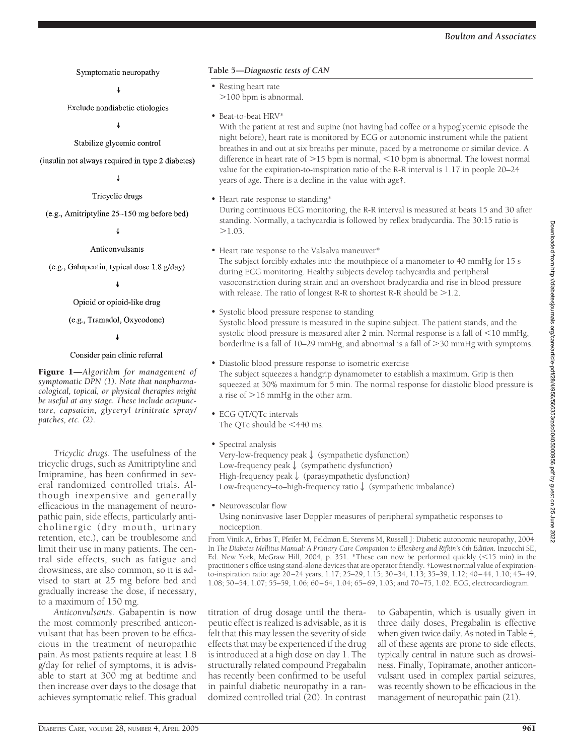Symptomatic neuropathy

t

Exclude nondiabetic etiologies

 $\mathbf{r}$ 

Stabilize glycemic control

(insulin not always required in type 2 diabetes)

J

## Tricyclic drugs

(e.g., Amitriptyline 25-150 mg before bed)

ı

Anticonvulsants

(e.g., Gabapentin, typical dose 1.8 g/day)

 $\mathbf{r}$ 

Opioid or opioid-like drug

(e.g., Tramadol, Oxycodone)

 $\mathbf{I}$ 

## Consider pain clinic referral

Figure 1—*Algorithm for management of symptomatic DPN (1). Note that nonpharmacological, topical, or physical therapies might be useful at any stage. These include acupuncture, capsaicin, glyceryl trinitrate spray/ patches, etc. (2).*

*Tricyclic drugs*. The usefulness of the tricyclic drugs, such as Amitriptyline and Imipramine, has been confirmed in several randomized controlled trials. Although inexpensive and generally efficacious in the management of neuropathic pain, side effects, particularly anticholinergic (dry mouth, urinary retention, etc.), can be troublesome and limit their use in many patients. The central side effects, such as fatigue and drowsiness, are also common, so it is advised to start at 25 mg before bed and gradually increase the dose, if necessary, to a maximum of 150 mg.

*Anticonvulsants*. Gabapentin is now the most commonly prescribed anticonvulsant that has been proven to be efficacious in the treatment of neuropathic pain. As most patients require at least 1.8 g/day for relief of symptoms, it is advisable to start at 300 mg at bedtime and then increase over days to the dosage that achieves symptomatic relief. This gradual

## **Table 5—***Diagnostic tests of CAN*

- Resting heart rate 100 bpm is abnormal.
- Beat-to-beat HRV\*

 $>1.03$ 

With the patient at rest and supine (not having had coffee or a hypoglycemic episode the night before), heart rate is monitored by ECG or autonomic instrument while the patient breathes in and out at six breaths per minute, paced by a metronome or similar device. A difference in heart rate of  $>$ 15 bpm is normal,  $<$ 10 bpm is abnormal. The lowest normal value for the expiration-to-inspiration ratio of the R-R interval is 1.17 in people 20–24 years of age. There is a decline in the value with age†.

- Heart rate response to standing\* During continuous ECG monitoring, the R-R interval is measured at beats 15 and 30 after standing. Normally, a tachycardia is followed by reflex bradycardia. The 30:15 ratio is
- Heart rate response to the Valsalva maneuver\*

The subject forcibly exhales into the mouthpiece of a manometer to 40 mmHg for 15 s during ECG monitoring. Healthy subjects develop tachycardia and peripheral vasoconstriction during strain and an overshoot bradycardia and rise in blood pressure with release. The ratio of longest R-R to shortest R-R should be  $>1.2$ .

- Systolic blood pressure response to standing Systolic blood pressure is measured in the supine subject. The patient stands, and the systolic blood pressure is measured after 2 min. Normal response is a fall of  $\leq$  10 mmHg, borderline is a fall of 10–29 mmHg, and abnormal is a fall of  $>$ 30 mmHg with symptoms.
- Diastolic blood pressure response to isometric exercise The subject squeezes a handgrip dynamometer to establish a maximum. Grip is then squeezed at 30% maximum for 5 min. The normal response for diastolic blood pressure is a rise of  $>$ 16 mmHg in the other arm.
- ECG QT/QTc intervals The QTc should be  $\leq$ 440 ms.
- Spectral analysis Very-low-frequency peak  $\downarrow$  (sympathetic dysfunction) Low-frequency peak  $\downarrow$  (sympathetic dysfunction) High-frequency peak  $\downarrow$  (parasympathetic dysfunction) Low-frequency–to–high-frequency ratio↓ (sympathetic imbalance)
- Neurovascular flow Using noninvasive laser Doppler measures of peripheral sympathetic responses to nociception.

titration of drug dosage until the therapeutic effect is realized is advisable, as it is felt that this may lessen the severity of side effects that may be experienced if the drug is introduced at a high dose on day 1. The structurally related compound Pregabalin has recently been confirmed to be useful in painful diabetic neuropathy in a randomized controlled trial (20). In contrast

to Gabapentin, which is usually given in three daily doses, Pregabalin is effective when given twice daily. As noted in Table 4, all of these agents are prone to side effects, typically central in nature such as drowsiness. Finally, Topiramate, another anticonvulsant used in complex partial seizures, was recently shown to be efficacious in the management of neuropathic pain (21).

From Vinik A, Erbas T, Pfeifer M, Feldman E, Stevens M, Russell J: Diabetic autonomic neuropathy, 2004. In *The Diabetes Mellitus Manual: A Primary Care Companion to Ellenberg and Rifkin's 6th Edition*. Inzucchi SE, Ed. New York, McGraw Hill, 2004, p. 351. \*These can now be performed quickly  $($ <15 min) in the practitioner's office using stand-alone devices that are operator friendly. †Lowest normal value of expirationto-inspiration ratio: age 20–24 years, 1.17; 25–29, 1.15; 30–34, 1.13; 35–39, 1.12; 40–44, 1.10; 45–49, 1.08; 50–54, 1.07; 55–59, 1.06; 60–64, 1.04; 65–69, 1.03; and 70–75, 1.02. ECG, electrocardiogram.